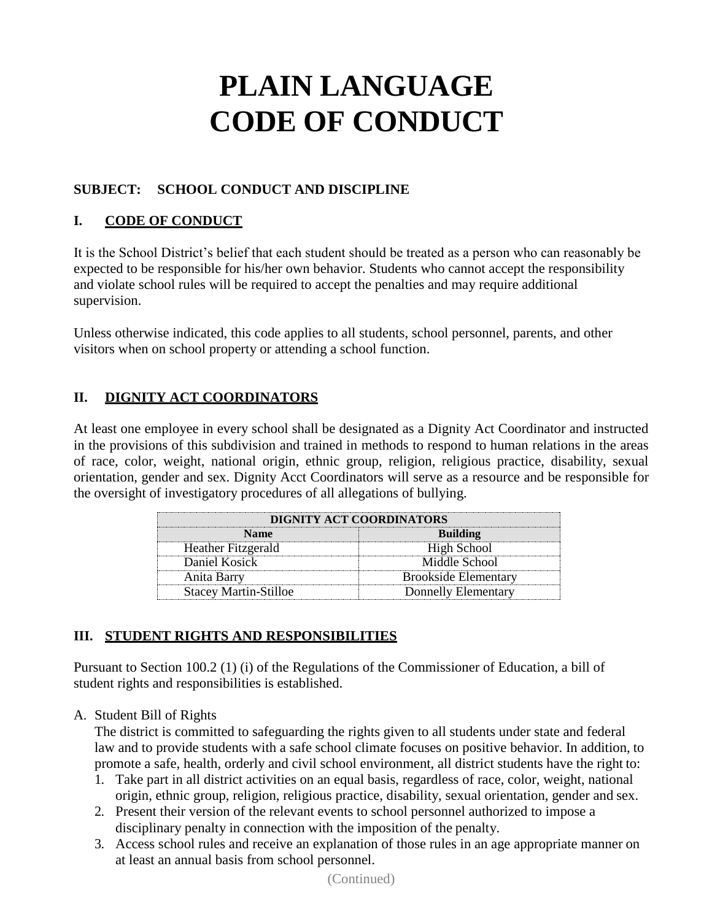### **SUBJECT: SCHOOL CONDUCT AND DISCIPLINE**

### **I. CODE OF CONDUCT**

It is the School District's belief that each student should be treated as a person who can reasonably be expected to be responsible for his/her own behavior. Students who cannot accept the responsibility and violate school rules will be required to accept the penalties and may require additional supervision.

Unless otherwise indicated, this code applies to all students, school personnel, parents, and other visitors when on school property or attending a school function.

### **II. DIGNITY ACT COORDINATORS**

At least one employee in every school shall be designated as a Dignity Act Coordinator and instructed in the provisions of this subdivision and trained in methods to respond to human relations in the areas of race, color, weight, national origin, ethnic group, religion, religious practice, disability, sexual orientation, gender and sex. Dignity Acct Coordinators will serve as a resource and be responsible for the oversight of investigatory procedures of all allegations of bullying.

| DIGNITY ACT COORDINATORS     |                             |
|------------------------------|-----------------------------|
| <b>Name</b>                  | <b>Building</b>             |
| Heather Fitzgerald           | High School                 |
| Daniel Kosick                | Middle School               |
| Anita Barry                  | <b>Brookside Elementary</b> |
| <b>Stacey Martin-Stilloe</b> | Donnelly Elementary         |

### **III. STUDENT RIGHTS AND RESPONSIBILITIES**

Pursuant to Section 100.2 (1) (i) of the Regulations of the Commissioner of Education, a bill of student rights and responsibilities is established.

#### A. Student Bill of Rights

The district is committed to safeguarding the rights given to all students under state and federal law and to provide students with a safe school climate focuses on positive behavior. In addition, to promote a safe, health, orderly and civil school environment, all district students have the right to:

- 1. Take part in all district activities on an equal basis, regardless of race, color, weight, national origin, ethnic group, religion, religious practice, disability, sexual orientation, gender and sex.
- 2. Present their version of the relevant events to school personnel authorized to impose a disciplinary penalty in connection with the imposition of the penalty.
- 3. Access school rules and receive an explanation of those rules in an age appropriate manner on at least an annual basis from school personnel.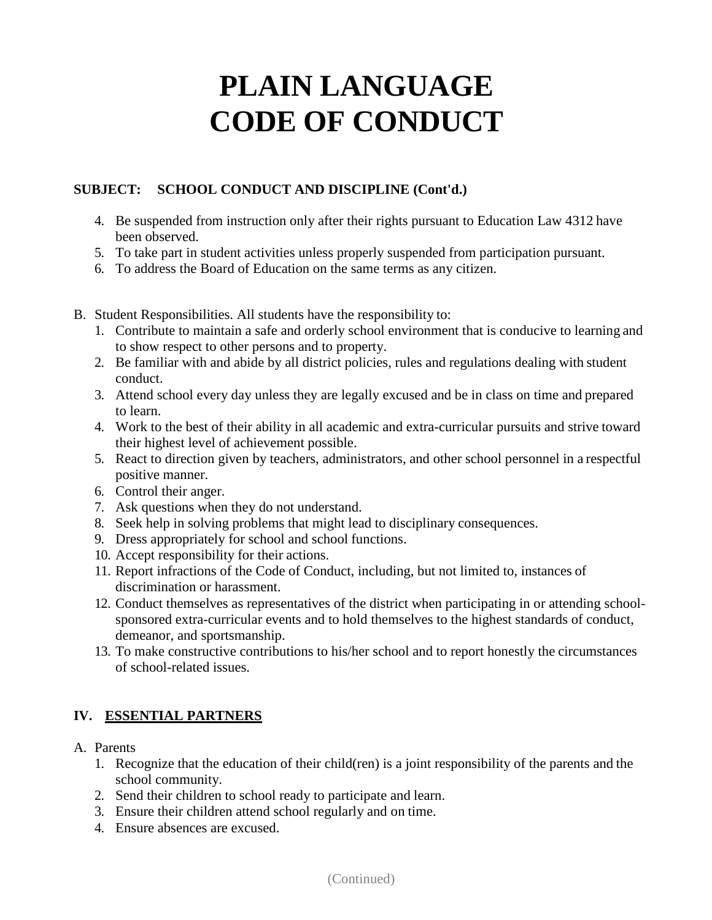### **SUBJECT: SCHOOL CONDUCT AND DISCIPLINE (Cont'd.)**

- 4. Be suspended from instruction only after their rights pursuant to Education Law 4312 have been observed.
- 5. To take part in student activities unless properly suspended from participation pursuant.
- 6. To address the Board of Education on the same terms as any citizen.
- B. Student Responsibilities. All students have the responsibility to:
	- 1. Contribute to maintain a safe and orderly school environment that is conducive to learning and to show respect to other persons and to property.
	- 2. Be familiar with and abide by all district policies, rules and regulations dealing with student conduct.
	- 3. Attend school every day unless they are legally excused and be in class on time and prepared to learn.
	- 4. Work to the best of their ability in all academic and extra-curricular pursuits and strive toward their highest level of achievement possible.
	- 5. React to direction given by teachers, administrators, and other school personnel in a respectful positive manner.
	- 6. Control their anger.
	- 7. Ask questions when they do not understand.
	- 8. Seek help in solving problems that might lead to disciplinary consequences.
	- 9. Dress appropriately for school and school functions.
	- 10. Accept responsibility for their actions.
	- 11. Report infractions of the Code of Conduct, including, but not limited to, instances of discrimination or harassment.
	- 12. Conduct themselves as representatives of the district when participating in or attending schoolsponsored extra-curricular events and to hold themselves to the highest standards of conduct, demeanor, and sportsmanship.
	- 13. To make constructive contributions to his/her school and to report honestly the circumstances of school-related issues.

#### **IV. ESSENTIAL PARTNERS**

- A. Parents
	- 1. Recognize that the education of their child(ren) is a joint responsibility of the parents and the school community.
	- 2. Send their children to school ready to participate and learn.
	- 3. Ensure their children attend school regularly and on time.
	- 4. Ensure absences are excused.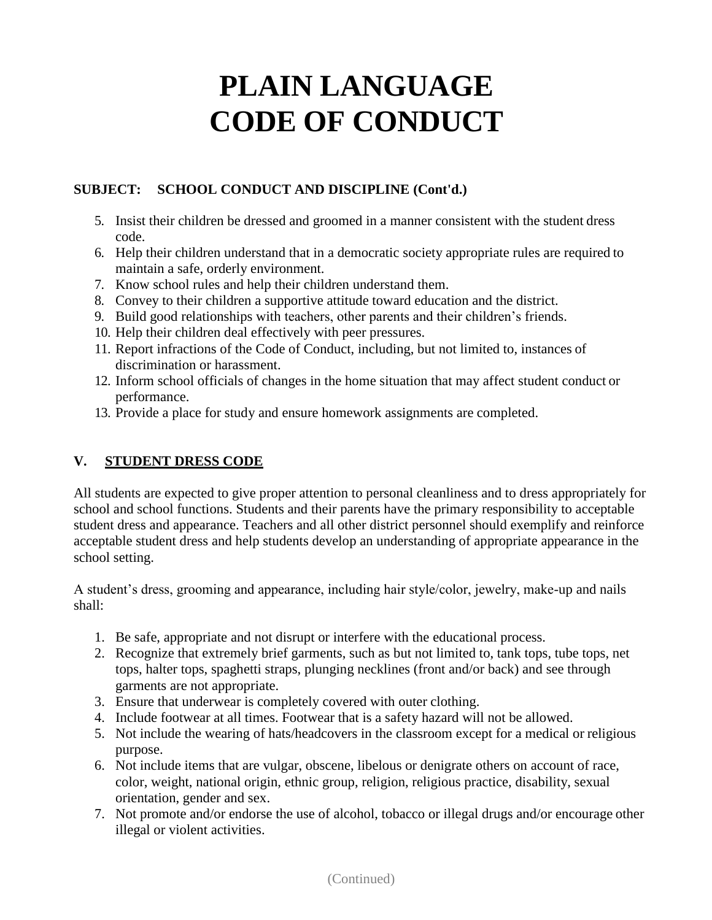### **SUBJECT: SCHOOL CONDUCT AND DISCIPLINE (Cont'd.)**

- 5. Insist their children be dressed and groomed in a manner consistent with the student dress code.
- 6. Help their children understand that in a democratic society appropriate rules are required to maintain a safe, orderly environment.
- 7. Know school rules and help their children understand them.
- 8. Convey to their children a supportive attitude toward education and the district.
- 9. Build good relationships with teachers, other parents and their children's friends.
- 10. Help their children deal effectively with peer pressures.
- 11. Report infractions of the Code of Conduct, including, but not limited to, instances of discrimination or harassment.
- 12. Inform school officials of changes in the home situation that may affect student conduct or performance.
- 13. Provide a place for study and ensure homework assignments are completed.

#### **V. STUDENT DRESS CODE**

All students are expected to give proper attention to personal cleanliness and to dress appropriately for school and school functions. Students and their parents have the primary responsibility to acceptable student dress and appearance. Teachers and all other district personnel should exemplify and reinforce acceptable student dress and help students develop an understanding of appropriate appearance in the school setting.

A student's dress, grooming and appearance, including hair style/color, jewelry, make-up and nails shall:

- 1. Be safe, appropriate and not disrupt or interfere with the educational process.
- 2. Recognize that extremely brief garments, such as but not limited to, tank tops, tube tops, net tops, halter tops, spaghetti straps, plunging necklines (front and/or back) and see through garments are not appropriate.
- 3. Ensure that underwear is completely covered with outer clothing.
- 4. Include footwear at all times. Footwear that is a safety hazard will not be allowed.
- 5. Not include the wearing of hats/headcovers in the classroom except for a medical or religious purpose.
- 6. Not include items that are vulgar, obscene, libelous or denigrate others on account of race, color, weight, national origin, ethnic group, religion, religious practice, disability, sexual orientation, gender and sex.
- 7. Not promote and/or endorse the use of alcohol, tobacco or illegal drugs and/or encourage other illegal or violent activities.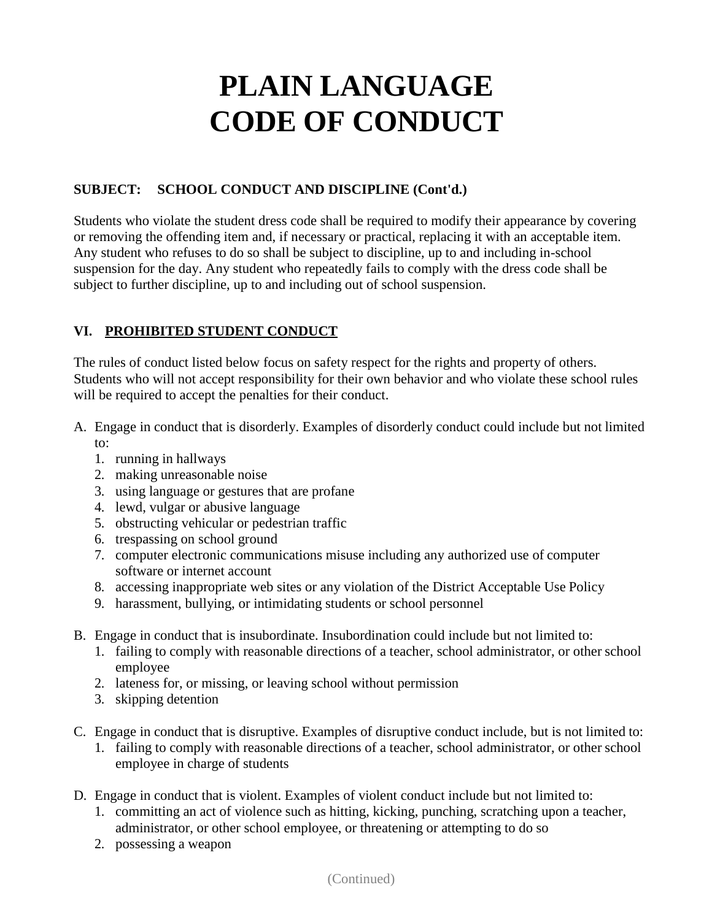### **SUBJECT: SCHOOL CONDUCT AND DISCIPLINE (Cont'd.)**

Students who violate the student dress code shall be required to modify their appearance by covering or removing the offending item and, if necessary or practical, replacing it with an acceptable item. Any student who refuses to do so shall be subject to discipline, up to and including in-school suspension for the day. Any student who repeatedly fails to comply with the dress code shall be subject to further discipline, up to and including out of school suspension.

### **VI. PROHIBITED STUDENT CONDUCT**

The rules of conduct listed below focus on safety respect for the rights and property of others. Students who will not accept responsibility for their own behavior and who violate these school rules will be required to accept the penalties for their conduct.

- A. Engage in conduct that is disorderly. Examples of disorderly conduct could include but not limited to:
	- 1. running in hallways
	- 2. making unreasonable noise
	- 3. using language or gestures that are profane
	- 4. lewd, vulgar or abusive language
	- 5. obstructing vehicular or pedestrian traffic
	- 6. trespassing on school ground
	- 7. computer electronic communications misuse including any authorized use of computer software or internet account
	- 8. accessing inappropriate web sites or any violation of the District Acceptable Use Policy
	- 9. harassment, bullying, or intimidating students or school personnel
- B. Engage in conduct that is insubordinate. Insubordination could include but not limited to:
	- 1. failing to comply with reasonable directions of a teacher, school administrator, or other school employee
	- 2. lateness for, or missing, or leaving school without permission
	- 3. skipping detention
- C. Engage in conduct that is disruptive. Examples of disruptive conduct include, but is not limited to:
	- 1. failing to comply with reasonable directions of a teacher, school administrator, or other school employee in charge of students
- D. Engage in conduct that is violent. Examples of violent conduct include but not limited to:
	- 1. committing an act of violence such as hitting, kicking, punching, scratching upon a teacher, administrator, or other school employee, or threatening or attempting to do so
	- 2. possessing a weapon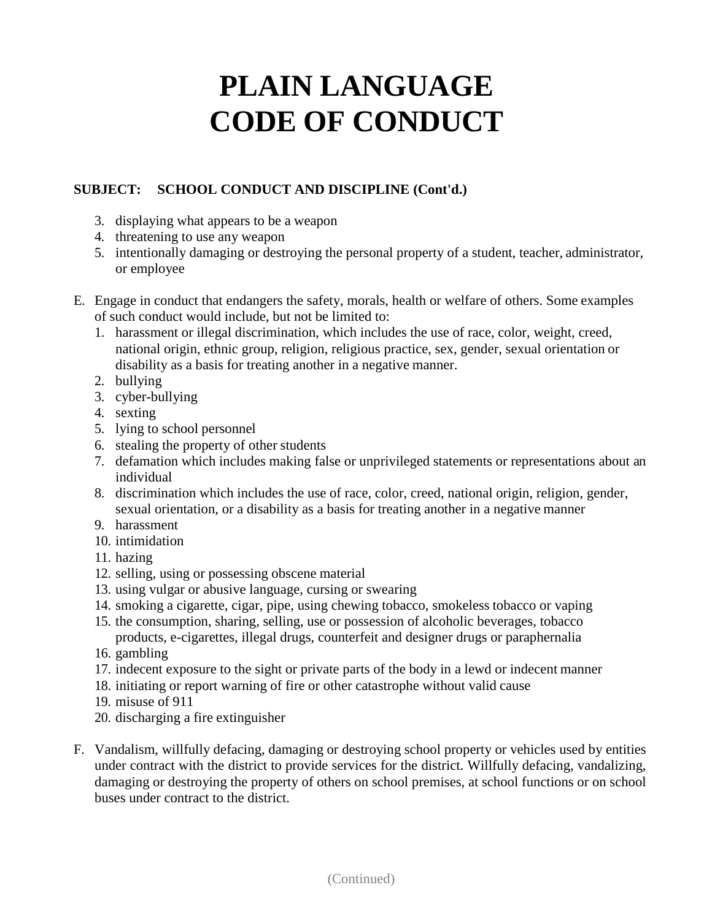### **SUBJECT: SCHOOL CONDUCT AND DISCIPLINE (Cont'd.)**

- 3. displaying what appears to be a weapon
- 4. threatening to use any weapon
- 5. intentionally damaging or destroying the personal property of a student, teacher, administrator, or employee
- E. Engage in conduct that endangers the safety, morals, health or welfare of others. Some examples of such conduct would include, but not be limited to:
	- 1. harassment or illegal discrimination, which includes the use of race, color, weight, creed, national origin, ethnic group, religion, religious practice, sex, gender, sexual orientation or disability as a basis for treating another in a negative manner.
	- 2. bullying
	- 3. cyber-bullying
	- 4. sexting
	- 5. lying to school personnel
	- 6. stealing the property of other students
	- 7. defamation which includes making false or unprivileged statements or representations about an individual
	- 8. discrimination which includes the use of race, color, creed, national origin, religion, gender, sexual orientation, or a disability as a basis for treating another in a negative manner
	- 9. harassment
	- 10. intimidation
	- 11. hazing
	- 12. selling, using or possessing obscene material
	- 13. using vulgar or abusive language, cursing or swearing
	- 14. smoking a cigarette, cigar, pipe, using chewing tobacco, smokeless tobacco or vaping
	- 15. the consumption, sharing, selling, use or possession of alcoholic beverages, tobacco products, e-cigarettes, illegal drugs, counterfeit and designer drugs or paraphernalia
	- 16. gambling
	- 17. indecent exposure to the sight or private parts of the body in a lewd or indecent manner
	- 18. initiating or report warning of fire or other catastrophe without valid cause
	- 19. misuse of 911
	- 20. discharging a fire extinguisher
- F. Vandalism, willfully defacing, damaging or destroying school property or vehicles used by entities under contract with the district to provide services for the district. Willfully defacing, vandalizing, damaging or destroying the property of others on school premises, at school functions or on school buses under contract to the district.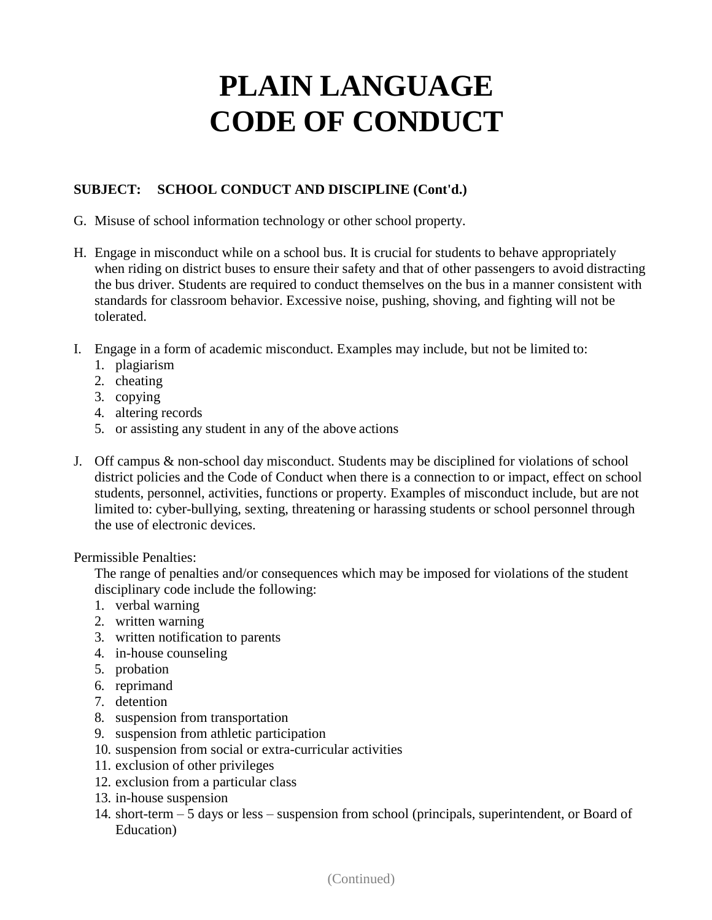### **SUBJECT: SCHOOL CONDUCT AND DISCIPLINE (Cont'd.)**

- G. Misuse of school information technology or other school property.
- H. Engage in misconduct while on a school bus. It is crucial for students to behave appropriately when riding on district buses to ensure their safety and that of other passengers to avoid distracting the bus driver. Students are required to conduct themselves on the bus in a manner consistent with standards for classroom behavior. Excessive noise, pushing, shoving, and fighting will not be tolerated.
- I. Engage in a form of academic misconduct. Examples may include, but not be limited to:
	- 1. plagiarism
	- 2. cheating
	- 3. copying
	- 4. altering records
	- 5. or assisting any student in any of the above actions
- J. Off campus & non-school day misconduct. Students may be disciplined for violations of school district policies and the Code of Conduct when there is a connection to or impact, effect on school students, personnel, activities, functions or property. Examples of misconduct include, but are not limited to: cyber-bullying, sexting, threatening or harassing students or school personnel through the use of electronic devices.

#### Permissible Penalties:

The range of penalties and/or consequences which may be imposed for violations of the student disciplinary code include the following:

- 1. verbal warning
- 2. written warning
- 3. written notification to parents
- 4. in-house counseling
- 5. probation
- 6. reprimand
- 7. detention
- 8. suspension from transportation
- 9. suspension from athletic participation
- 10. suspension from social or extra-curricular activities
- 11. exclusion of other privileges
- 12. exclusion from a particular class
- 13. in-house suspension
- 14. short-term 5 days or less suspension from school (principals, superintendent, or Board of Education)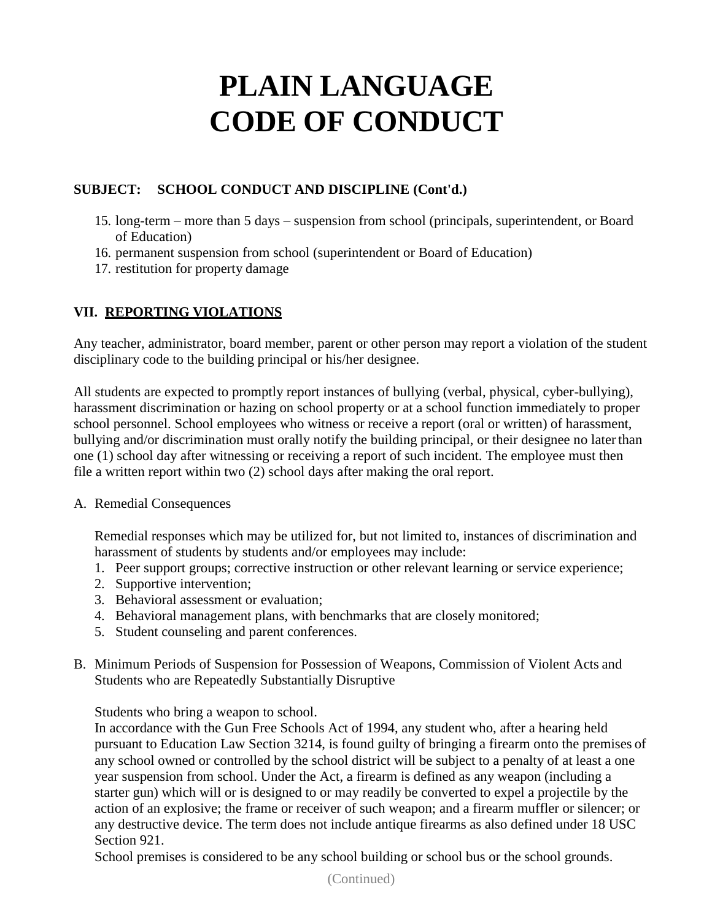### **SUBJECT: SCHOOL CONDUCT AND DISCIPLINE (Cont'd.)**

- 15. long-term more than 5 days suspension from school (principals, superintendent, or Board of Education)
- 16. permanent suspension from school (superintendent or Board of Education)
- 17. restitution for property damage

### **VII. REPORTING VIOLATIONS**

Any teacher, administrator, board member, parent or other person may report a violation of the student disciplinary code to the building principal or his/her designee.

All students are expected to promptly report instances of bullying (verbal, physical, cyber-bullying), harassment discrimination or hazing on school property or at a school function immediately to proper school personnel. School employees who witness or receive a report (oral or written) of harassment, bullying and/or discrimination must orally notify the building principal, or their designee no laterthan one (1) school day after witnessing or receiving a report of such incident. The employee must then file a written report within two (2) school days after making the oral report.

#### A. Remedial Consequences

Remedial responses which may be utilized for, but not limited to, instances of discrimination and harassment of students by students and/or employees may include:

- 1. Peer support groups; corrective instruction or other relevant learning or service experience;
- 2. Supportive intervention;
- 3. Behavioral assessment or evaluation;
- 4. Behavioral management plans, with benchmarks that are closely monitored;
- 5. Student counseling and parent conferences.
- B. Minimum Periods of Suspension for Possession of Weapons, Commission of Violent Acts and Students who are Repeatedly Substantially Disruptive

Students who bring a weapon to school.

In accordance with the Gun Free Schools Act of 1994, any student who, after a hearing held pursuant to Education Law Section 3214, is found guilty of bringing a firearm onto the premises of any school owned or controlled by the school district will be subject to a penalty of at least a one year suspension from school. Under the Act, a firearm is defined as any weapon (including a starter gun) which will or is designed to or may readily be converted to expel a projectile by the action of an explosive; the frame or receiver of such weapon; and a firearm muffler or silencer; or any destructive device. The term does not include antique firearms as also defined under 18 USC Section 921.

School premises is considered to be any school building or school bus or the school grounds.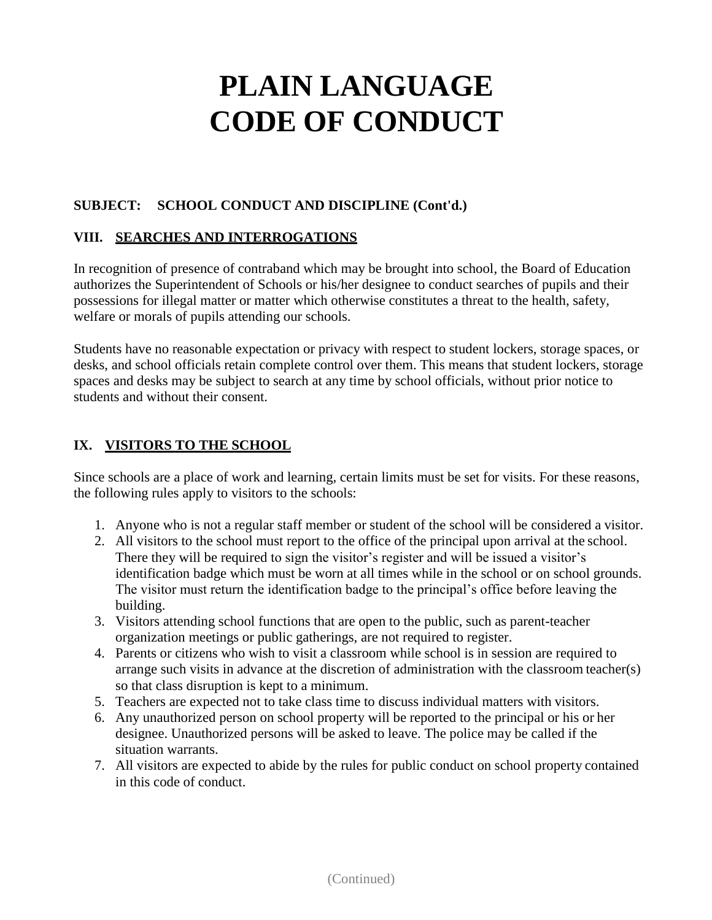### **SUBJECT: SCHOOL CONDUCT AND DISCIPLINE (Cont'd.)**

### **VIII. SEARCHES AND INTERROGATIONS**

In recognition of presence of contraband which may be brought into school, the Board of Education authorizes the Superintendent of Schools or his/her designee to conduct searches of pupils and their possessions for illegal matter or matter which otherwise constitutes a threat to the health, safety, welfare or morals of pupils attending our schools.

Students have no reasonable expectation or privacy with respect to student lockers, storage spaces, or desks, and school officials retain complete control over them. This means that student lockers, storage spaces and desks may be subject to search at any time by school officials, without prior notice to students and without their consent.

#### **IX. VISITORS TO THE SCHOOL**

Since schools are a place of work and learning, certain limits must be set for visits. For these reasons, the following rules apply to visitors to the schools:

- 1. Anyone who is not a regular staff member or student of the school will be considered a visitor.
- 2. All visitors to the school must report to the office of the principal upon arrival at the school. There they will be required to sign the visitor's register and will be issued a visitor's identification badge which must be worn at all times while in the school or on school grounds. The visitor must return the identification badge to the principal's office before leaving the building.
- 3. Visitors attending school functions that are open to the public, such as parent-teacher organization meetings or public gatherings, are not required to register.
- 4. Parents or citizens who wish to visit a classroom while school is in session are required to arrange such visits in advance at the discretion of administration with the classroom teacher(s) so that class disruption is kept to a minimum.
- 5. Teachers are expected not to take class time to discuss individual matters with visitors.
- 6. Any unauthorized person on school property will be reported to the principal or his or her designee. Unauthorized persons will be asked to leave. The police may be called if the situation warrants.
- 7. All visitors are expected to abide by the rules for public conduct on school property contained in this code of conduct.